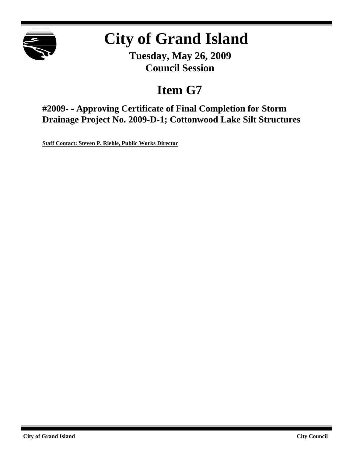

# **City of Grand Island**

**Tuesday, May 26, 2009 Council Session**

## **Item G7**

**#2009- - Approving Certificate of Final Completion for Storm Drainage Project No. 2009-D-1; Cottonwood Lake Silt Structures**

**Staff Contact: Steven P. Riehle, Public Works Director**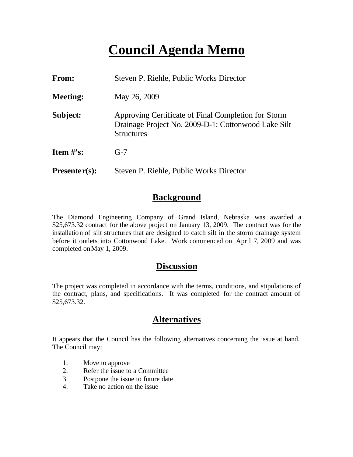## **Council Agenda Memo**

| From:           | Steven P. Riehle, Public Works Director                                                                                         |  |  |
|-----------------|---------------------------------------------------------------------------------------------------------------------------------|--|--|
| <b>Meeting:</b> | May 26, 2009                                                                                                                    |  |  |
| Subject:        | Approving Certificate of Final Completion for Storm<br>Drainage Project No. 2009-D-1; Cottonwood Lake Silt<br><b>Structures</b> |  |  |
| Item $\#$ 's:   | $G-7$                                                                                                                           |  |  |
| $Presenter(s):$ | Steven P. Riehle, Public Works Director                                                                                         |  |  |

### **Background**

The Diamond Engineering Company of Grand Island, Nebraska was awarded a \$25,673.32 contract for the above project on January 13, 2009. The contract was for the installation of silt structures that are designed to catch silt in the storm drainage system before it outlets into Cottonwood Lake. Work commenced on April 7, 2009 and was completed onMay 1, 2009.

#### **Discussion**

The project was completed in accordance with the terms, conditions, and stipulations of the contract, plans, and specifications. It was completed for the contract amount of \$25,673.32.

### **Alternatives**

It appears that the Council has the following alternatives concerning the issue at hand. The Council may:

- 1. Move to approve
- 2. Refer the issue to a Committee
- 3. Postpone the issue to future date
- 4. Take no action on the issue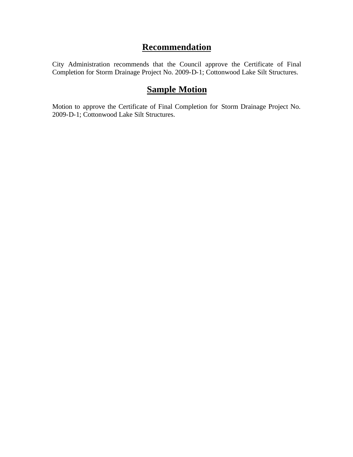### **Recommendation**

City Administration recommends that the Council approve the Certificate of Final Completion for Storm Drainage Project No. 2009-D-1; Cottonwood Lake Silt Structures.

## **Sample Motion**

Motion to approve the Certificate of Final Completion for Storm Drainage Project No. 2009-D-1; Cottonwood Lake Silt Structures.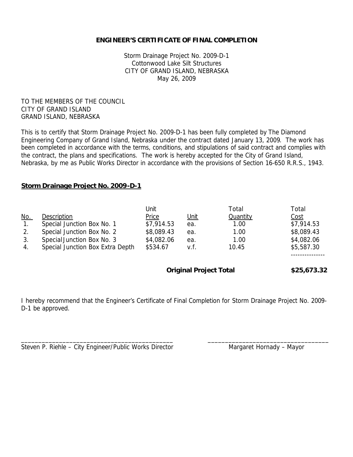#### **ENGINEER'S CERTIFICATE OF FINAL COMPLETION**

Storm Drainage Project No. 2009-D-1 Cottonwood Lake Silt Structures CITY OF GRAND ISLAND, NEBRASKA May 26, 2009

TO THE MEMBERS OF THE COUNCIL CITY OF GRAND ISLAND GRAND ISLAND, NEBRASKA

This is to certify that Storm Drainage Project No. 2009-D-1 has been fully completed by The Diamond Engineering Company of Grand Island, Nebraska under the contract dated January 13, 2009. The work has been completed in accordance with the terms, conditions, and stipulations of said contract and complies with the contract, the plans and specifications. The work is hereby accepted for the City of Grand Island, Nebraska, by me as Public Works Director in accordance with the provisions of Section 16-650 R.R.S., 1943.

#### **Storm Drainage Project No. 2009-D-1**

|                  |                                  | Jnit                          |             | Total           | Total       |
|------------------|----------------------------------|-------------------------------|-------------|-----------------|-------------|
| <u>No.</u>       | Description                      | Price                         | <u>Unit</u> | <b>Quantity</b> | Cost        |
| $\overline{1}$ . | Special Junction Box No. 1       | \$7,914.53                    | ea.         | 1.00            | \$7,914.53  |
| 2.               | Special Junction Box No. 2       | \$8,089.43                    | ea.         | 1.00            | \$8,089.43  |
| 3.               | Special Junction Box No. 3       | \$4,082.06                    | ea.         | 1.00            | \$4,082.06  |
| 4.               | Special Junction Box Extra Depth | \$534.67                      | v.f.        | 10.45           | \$5,587.30  |
|                  |                                  |                               |             |                 |             |
|                  |                                  | <b>Original Project Total</b> |             |                 | \$25,673.32 |

I hereby recommend that the Engineer's Certificate of Final Completion for Storm Drainage Project No. 2009- D-1 be approved.

\_\_\_\_\_\_\_\_\_\_\_\_\_\_\_\_\_\_\_\_\_\_\_\_\_\_\_\_\_\_\_\_\_\_\_\_\_\_\_\_\_\_\_\_ \_\_\_\_\_\_\_\_\_\_\_\_\_\_\_\_\_\_\_\_\_\_\_\_\_\_\_\_\_\_\_\_\_\_\_

|  |  | Steven P. Riehle - City Engineer/Public Works Director |  |
|--|--|--------------------------------------------------------|--|
|--|--|--------------------------------------------------------|--|

Margaret Hornady – Mayor